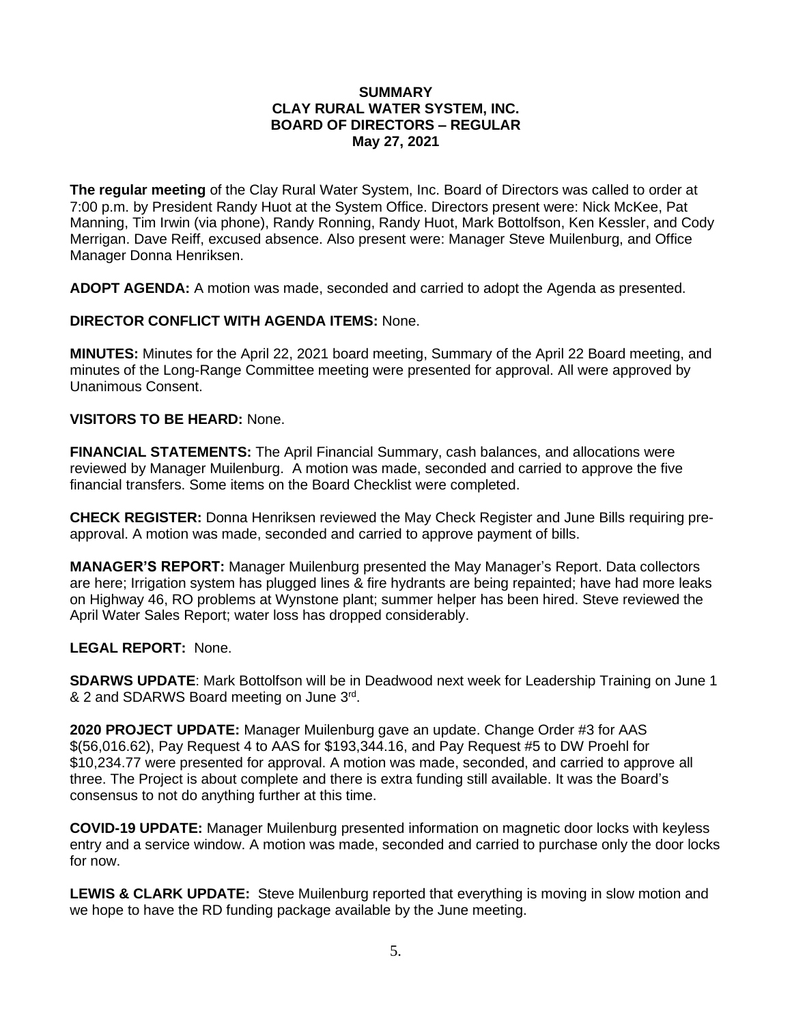## **SUMMARY CLAY RURAL WATER SYSTEM, INC. BOARD OF DIRECTORS – REGULAR May 27, 2021**

**The regular meeting** of the Clay Rural Water System, Inc. Board of Directors was called to order at 7:00 p.m. by President Randy Huot at the System Office. Directors present were: Nick McKee, Pat Manning, Tim Irwin (via phone), Randy Ronning, Randy Huot, Mark Bottolfson, Ken Kessler, and Cody Merrigan. Dave Reiff, excused absence. Also present were: Manager Steve Muilenburg, and Office Manager Donna Henriksen.

**ADOPT AGENDA:** A motion was made, seconded and carried to adopt the Agenda as presented.

**DIRECTOR CONFLICT WITH AGENDA ITEMS:** None.

**MINUTES:** Minutes for the April 22, 2021 board meeting, Summary of the April 22 Board meeting, and minutes of the Long-Range Committee meeting were presented for approval. All were approved by Unanimous Consent.

## **VISITORS TO BE HEARD:** None.

**FINANCIAL STATEMENTS:** The April Financial Summary, cash balances, and allocations were reviewed by Manager Muilenburg. A motion was made, seconded and carried to approve the five financial transfers. Some items on the Board Checklist were completed.

**CHECK REGISTER:** Donna Henriksen reviewed the May Check Register and June Bills requiring preapproval. A motion was made, seconded and carried to approve payment of bills.

**MANAGER'S REPORT:** Manager Muilenburg presented the May Manager's Report. Data collectors are here; Irrigation system has plugged lines & fire hydrants are being repainted; have had more leaks on Highway 46, RO problems at Wynstone plant; summer helper has been hired. Steve reviewed the April Water Sales Report; water loss has dropped considerably.

## **LEGAL REPORT:** None.

**SDARWS UPDATE**: Mark Bottolfson will be in Deadwood next week for Leadership Training on June 1 & 2 and SDARWS Board meeting on June 3rd.

**2020 PROJECT UPDATE:** Manager Muilenburg gave an update. Change Order #3 for AAS \$(56,016.62), Pay Request 4 to AAS for \$193,344.16, and Pay Request #5 to DW Proehl for \$10,234.77 were presented for approval. A motion was made, seconded, and carried to approve all three. The Project is about complete and there is extra funding still available. It was the Board's consensus to not do anything further at this time.

**COVID-19 UPDATE:** Manager Muilenburg presented information on magnetic door locks with keyless entry and a service window. A motion was made, seconded and carried to purchase only the door locks for now.

**LEWIS & CLARK UPDATE:** Steve Muilenburg reported that everything is moving in slow motion and we hope to have the RD funding package available by the June meeting.